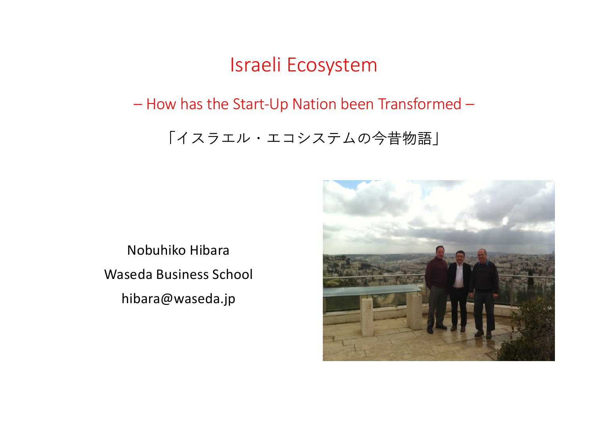### Israeli Ecosystem

#### – How has the Start-Up Nation been Transformed –

#### 「イスラエル・エコシステムの今昔物語」

Nobuhiko Hibara Waseda Business School hibara@waseda.jp

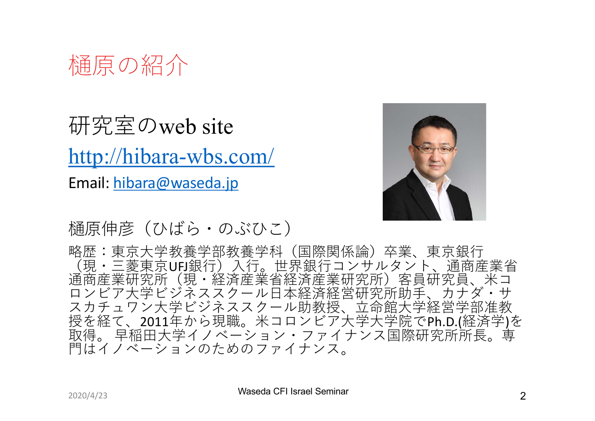

研究室のweb site [http://hibara-wbs.co](http://hibara-wbs.com/)m/ E[mail: hibara@wased](http://waseda.jp)a.jp



樋原伸彦(ひばら・のぶひこ)

略歴:東京大学教養学部教養学科(国際関係論)卒業、東京銀行<br><u>(</u>現・三菱東京UFJ銀行)入行。世界銀行コンサルタント、通商産業省 △元一三条尖尖し:第1% 余斗。これ系斗元(チョンチョウズ)<br>通商産業研究所(現・経済産業省経済産業研究所)客員研究員、米コ ロンビア大学ビジネススクール日本経済経営研究所助手、カナダ・サ スカチュワン大学ビジネススクール助教授、立命館大学経営学部准教 授を経て、2011年から現職。米コロンビア大学大学院でPh.D.(経済学)を 取得。 早稲田大学イノベーション・ファイナンス国際研究所所長。専 ⾨はイノベーションのためのファイナンス。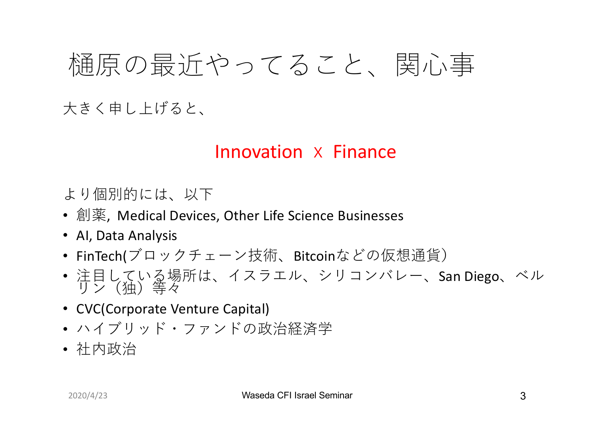## 樋原の最近やってること、関心事

⼤きく申し上げると、

### Innovation x Finance

より個別的には、以下

- 創薬, Medical Devices, Other Life Science Businesses
- AI, Data Analysis
- FinTech(ブロックチェーン技術、Bitcoinなどの仮想通貨)
- 注目している場所は、イスラエル、シリコンバレー、San Diego、ベル<br>サン(独)等々
- CVC(Corporate Venture Capital)
- ハイブリッド・ファンドの政治経済学
- 社内政治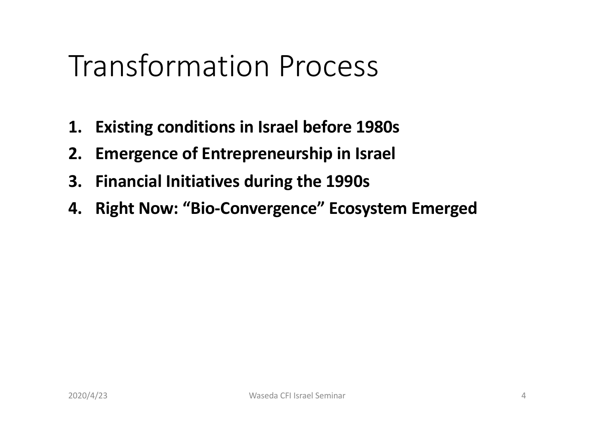## Transformation Process

- **1. Existing conditions in Israel before 1980s**
- **2. Emergence of Entrepreneurship in Israel**
- **3. Financial Initiatives during the 1990s**
- **4. Right Now: "Bio-Convergence" Ecosystem Emerged**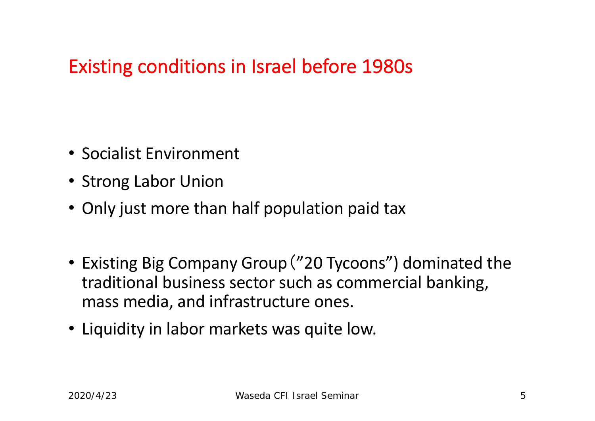### Existing conditions in Israel before 1980s

- Socialist Environment
- Strong Labor Union
- Only just more than half population paid tax
- Existing Big Company Group("20 Tycoons") dominated the traditional business sector such as commercial banking, mass media, and infrastructure ones.
- Liquidity in labor markets was quite low.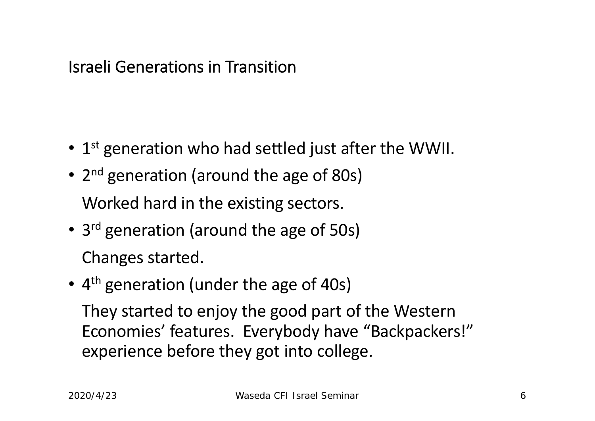Israeli Generations in Transition

- $1<sup>st</sup>$  generation who had settled just after the WWII.
- 2<sup>nd</sup> generation (around the age of 80s) Worked hard in the existing sectors.
- 3<sup>rd</sup> generation (around the age of 50s) Changes started.
- 4<sup>th</sup> generation (under the age of 40s) They started to enjoy the good part of the Western Economies' features. Everybody have "Backpackers!" experience before they got into college.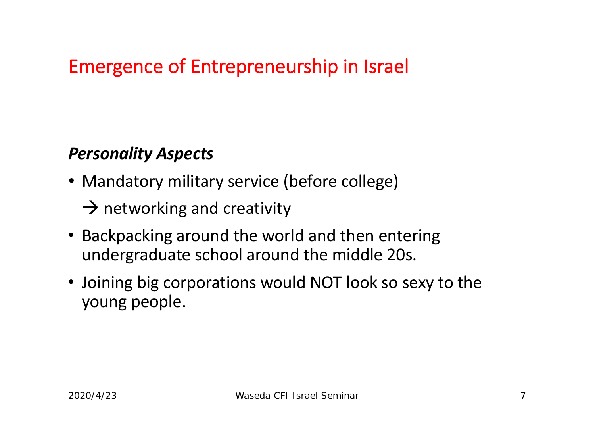### Emergence of Entrepreneurship in Israel

#### *Personality Aspects*

- Mandatory military service (before college)
	- $\rightarrow$  networking and creativity
- Backpacking around the world and then entering undergraduate school around the middle 20s.
- Joining big corporations would NOT look so sexy to the young people.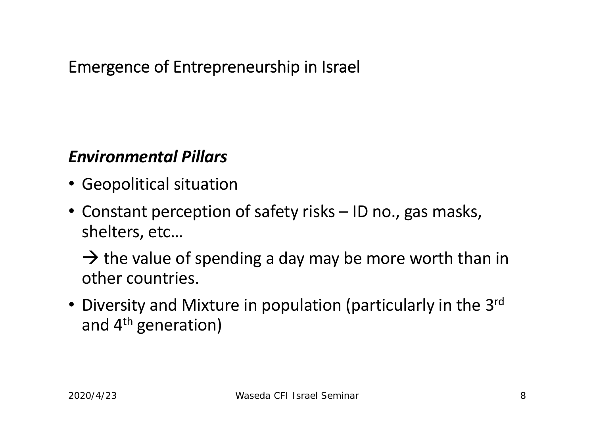### Emergence of Entrepreneurship in Israel

#### *Environmental Pillars*

- Geopolitical situation
- Constant perception of safety risks ID no., gas masks, shelters, etc…

 $\rightarrow$  the value of spending a day may be more worth than in other countries.

• Diversity and Mixture in population (particularly in the 3<sup>rd</sup> and 4<sup>th</sup> generation)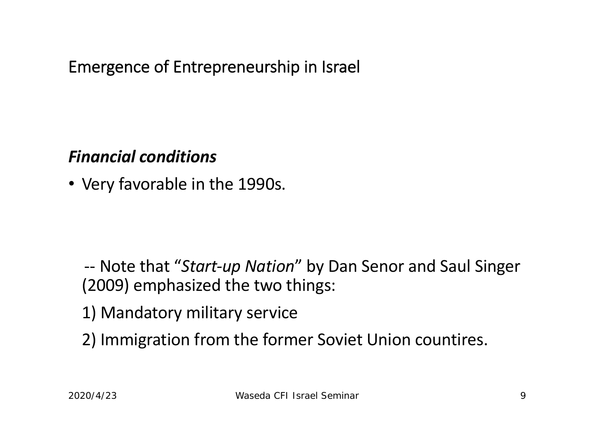Emergence of Entrepreneurship in Israel

#### *Financial conditions*

• Very favorable in the 1990s.

-- Note that "*Start-up Nation*" by Dan Senor and Saul Singer (2009) emphasized the two things:

- 1) Mandatory military service
- 2) Immigration from the former Soviet Union countires.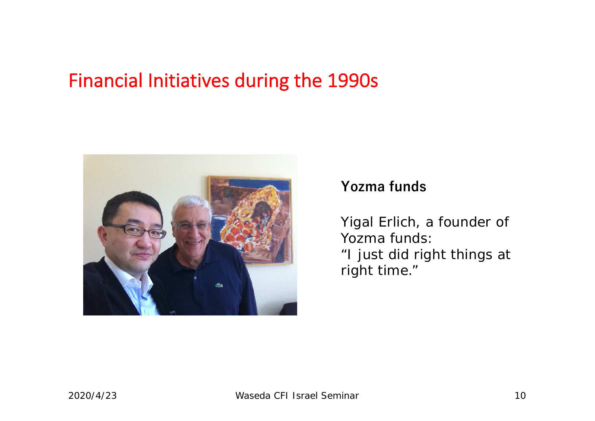### Financial Initiatives during the 1990s



#### **Yozma funds**

Yigal Erlich, a founder of Yozma funds: "I just did right things at right time."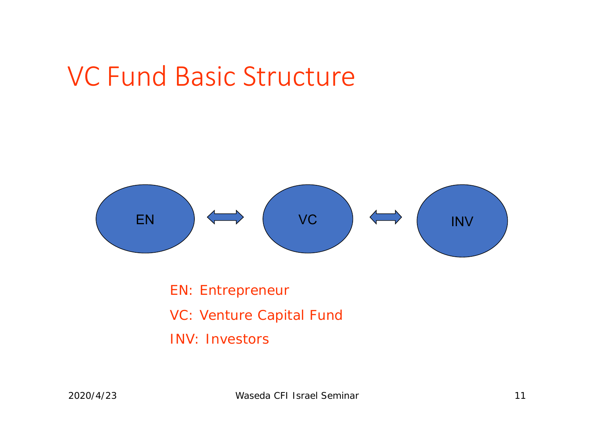## VC Fund Basic Structure



EN: Entrepreneur VC: Venture Capital Fund INV: Investors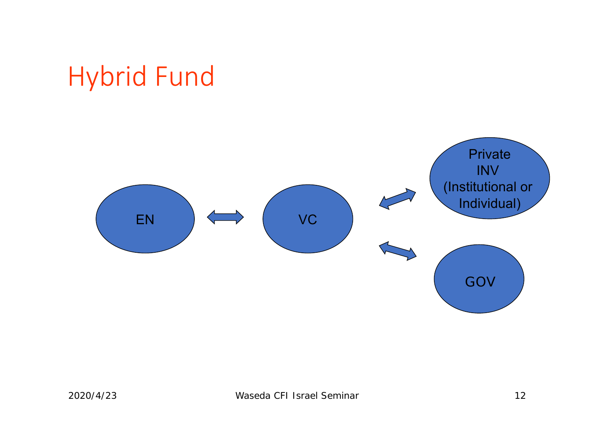## Hybrid Fund

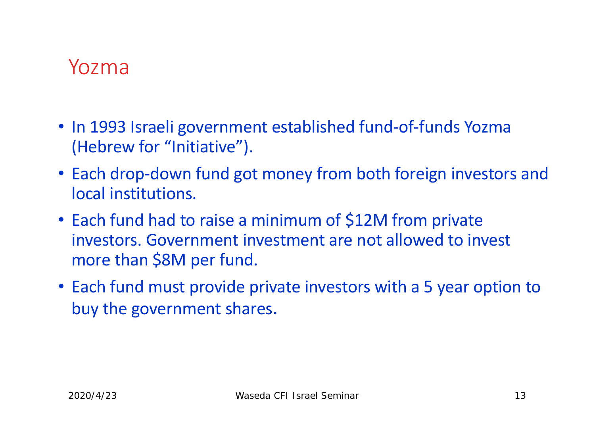## Yozma

- In 1993 Israeli government established fund-of-funds Yozma (Hebrew for "Initiative").
- Each drop-down fund got money from both foreign investors and local institutions.
- Each fund had to raise a minimum of \$12M from private investors. Government investment are not allowed to invest more than \$8M per fund.
- Each fund must provide private investors with a 5 year option to buy the government shares.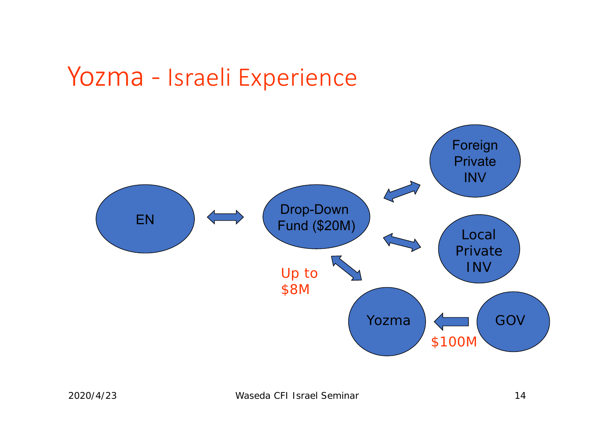## Yozma - Israeli Experience

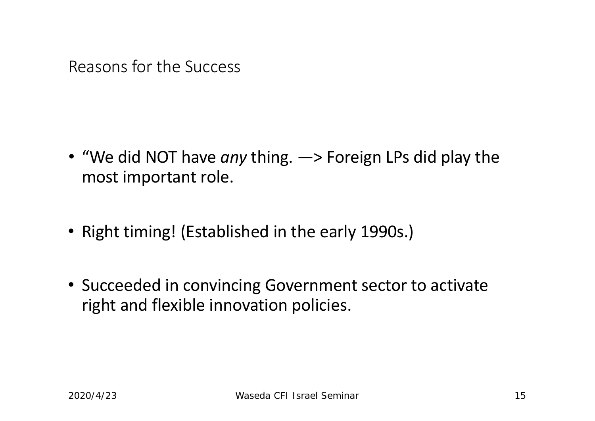Reasons for the Success

- "We did NOT have *any* thing. ―> Foreign LPs did play the most important role.
- Right timing! (Established in the early 1990s.)
- Succeeded in convincing Government sector to activate right and flexible innovation policies.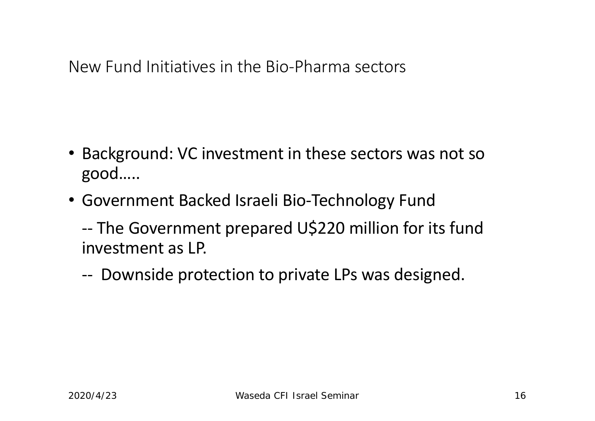New Fund Initiatives in the Bio-Pharma sectors

- Background: VC investment in these sectors was not so good…..
- Government Backed Israeli Bio-Technology Fund
	- -- The Government prepared U\$220 million for its fund investment as LP.
	- -- Downside protection to private LPs was designed.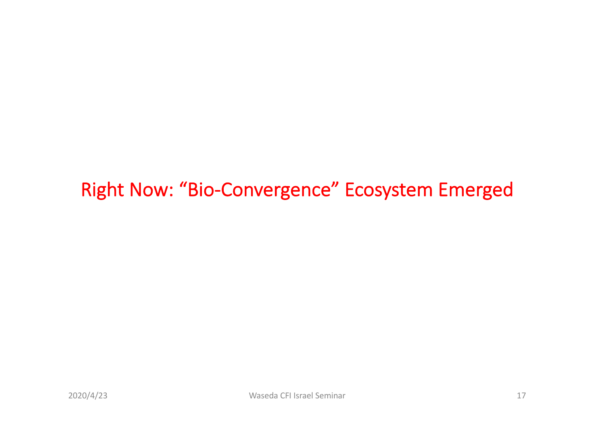### Right Now: "Bio-Convergence" Ecosystem Emerged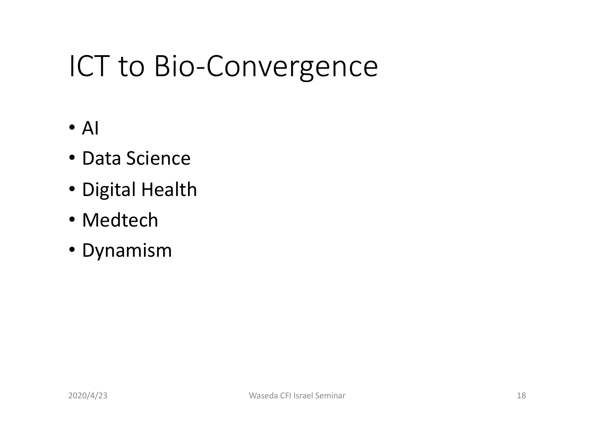# ICT to Bio-Convergence

- $\bullet$  Al
- Data Science
- Digital Health
- Medtech
- Dynamism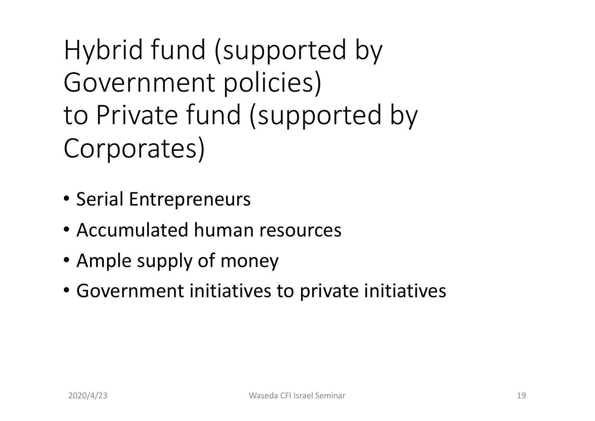Hybrid fund (supported by Government policies) to Private fund (supported by Corporates)

- Serial Entrepreneurs
- Accumulated human resources
- Ample supply of money
- Government initiatives to private initiatives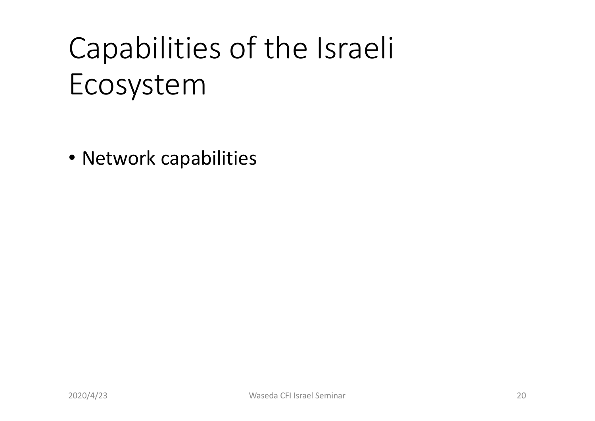# Capabilities of the Israeli Ecosystem

• Network capabilities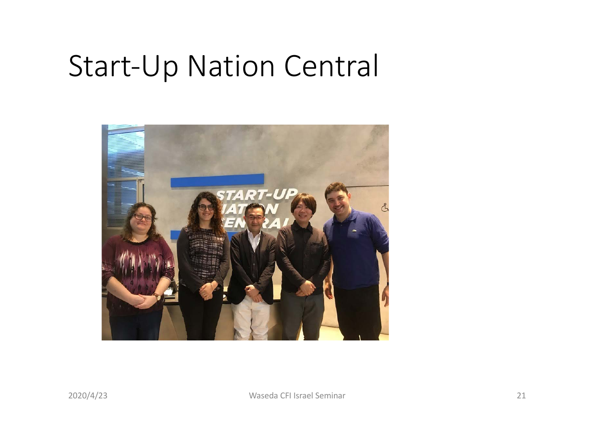## Start-Up Nation Central

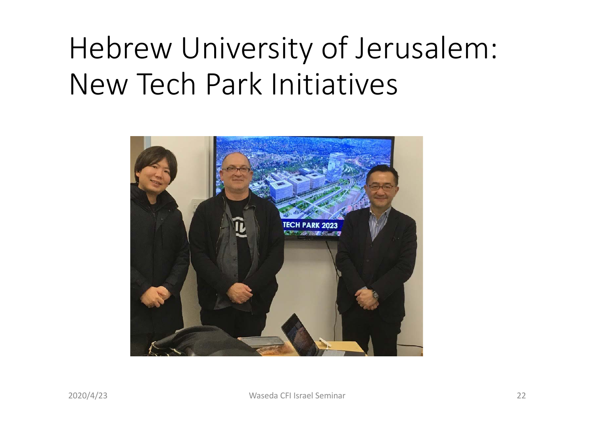# Hebrew University of Jerusalem: New Tech Park Initiatives

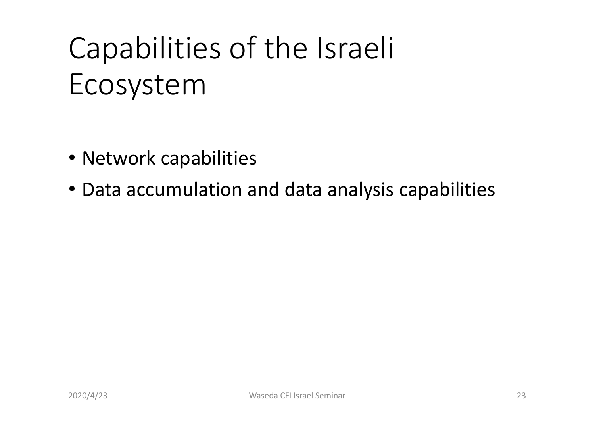# Capabilities of the Israeli Ecosystem

- Network capabilities
- Data accumulation and data analysis capabilities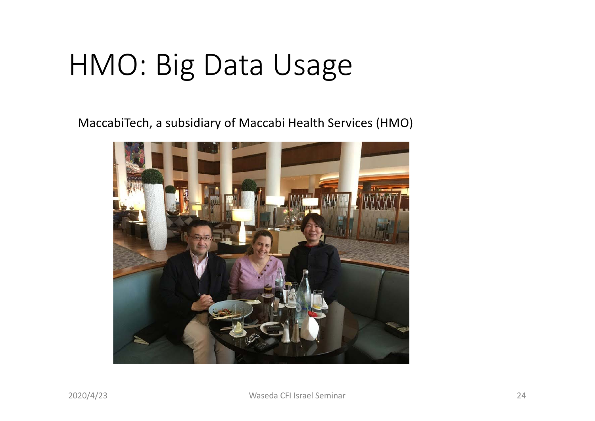# HMO: Big Data Usage

MaccabiTech, a subsidiary of Maccabi Health Services (HMO)

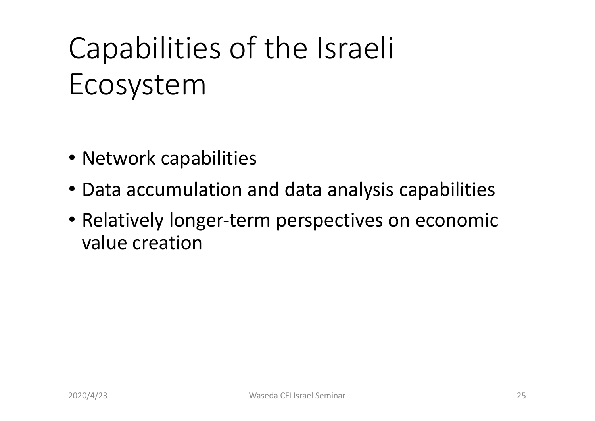# Capabilities of the Israeli Ecosystem

- Network capabilities
- Data accumulation and data analysis capabilities
- Relatively longer-term perspectives on economic value creation